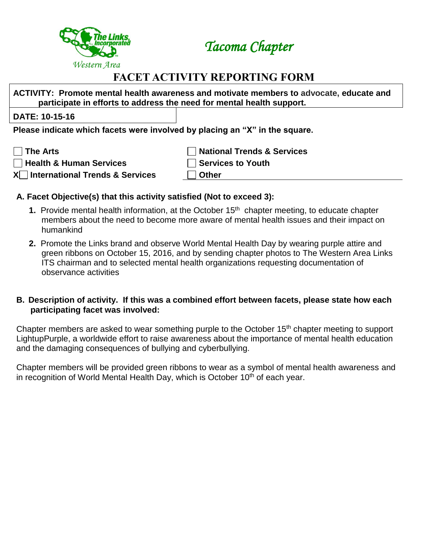

*Tacoma Chapter*

# **FACET ACTIVITY REPORTING FORM**

**ACTIVITY: Promote mental health awareness and motivate members to advocate, [educate and](http://www.healthable.org/self-injury-awareness-day-love-yourself-first/)  participate [in efforts to address the need for mental health support.](http://www.healthable.org/self-injury-awareness-day-love-yourself-first/)** 

## **DATE: 10-15-16**

**Please indicate which facets were involved by placing an "X" in the square.**

**The Arts National Trends & Services Health & Human Services Services to Youth**

**X International Trends & Services Other**

# **A. Facet Objective(s) that this activity satisfied (Not to exceed 3):**

- **1.** Provide mental health information, at the October 15<sup>th</sup> chapter meeting, to educate chapter members about the need to become more aware of mental health issues and their impact on humankind
- **2.** Promote the Links brand and observe World Mental Health Day by wearing purple attire and green ribbons on October 15, 2016, and by sending chapter photos to The Western Area Links ITS chairman and to selected mental health organizations requesting documentation of observance activities

#### **B. Description of activity. If this was a combined effort between facets, please state how each participating facet was involved:**

Chapter members are asked to wear something purple to the October 15<sup>th</sup> chapter meeting to support LightupPurple, a worldwide effort to raise awareness about the importance of mental health education and the damaging consequences of bullying and cyberbullying.

Chapter members will be provided green ribbons to wear as a symbol of mental health awareness and in recognition of World Mental Health Day, which is October  $10<sup>th</sup>$  of each year.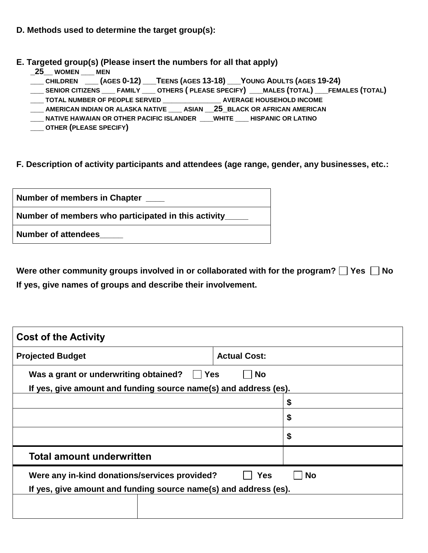## **D. Methods used to determine the target group(s):**

**E. Targeted group(s) (Please insert the numbers for all that apply)**

- **\_25\_\_ WOMEN \_\_\_ MEN**
- **\_\_\_ CHILDREN \_\_\_ (AGES 0-12) \_\_\_TEENS (AGES 13-18) \_\_\_YOUNG ADULTS (AGES 19-24)**
- \_\_\_\_ SENIOR CITIZENS \_\_\_\_ FAMILY \_\_\_\_ OTHERS ( PLEASE SPECIFY) \_\_\_ MALES (TOTAL) \_\_\_ FEMALES (TOTAL)
- **\_\_\_ TOTAL NUMBER OF PEOPLE SERVED \_\_\_\_\_\_\_\_\_\_\_\_\_ AVERAGE HOUSEHOLD INCOME**
- **\_\_\_ AMERICAN INDIAN OR ALASKA NATIVE \_\_\_ ASIAN \_\_25\_BLACK OR AFRICAN AMERICAN**
- **\_\_\_ NATIVE HAWAIAN OR OTHER PACIFIC ISLANDER \_\_\_WHITE \_\_\_ HISPANIC OR LATINO**
- **\_\_\_ OTHER (PLEASE SPECIFY)**

**F. Description of activity participants and attendees (age range, gender, any businesses, etc.:**

| Number of members in Chapter                        |  |  |  |
|-----------------------------------------------------|--|--|--|
| Number of members who participated in this activity |  |  |  |
| <b>Number of attendees</b>                          |  |  |  |

Were other community groups involved in or collaborated with for the program?  $\Box$  Yes  $\Box$  No **If yes, give names of groups and describe their involvement.** 

| <b>Cost of the Activity</b>                                                                                                                  |                     |    |  |
|----------------------------------------------------------------------------------------------------------------------------------------------|---------------------|----|--|
| <b>Projected Budget</b>                                                                                                                      | <b>Actual Cost:</b> |    |  |
| Was a grant or underwriting obtained?<br>∣ ∣Yes<br><b>No</b><br>If yes, give amount and funding source name(s) and address (es).             |                     |    |  |
|                                                                                                                                              |                     | \$ |  |
|                                                                                                                                              |                     | \$ |  |
|                                                                                                                                              |                     | \$ |  |
| <b>Total amount underwritten</b>                                                                                                             |                     |    |  |
| Were any in-kind donations/services provided?<br><b>Yes</b><br><b>No</b><br>If yes, give amount and funding source name(s) and address (es). |                     |    |  |
|                                                                                                                                              |                     |    |  |